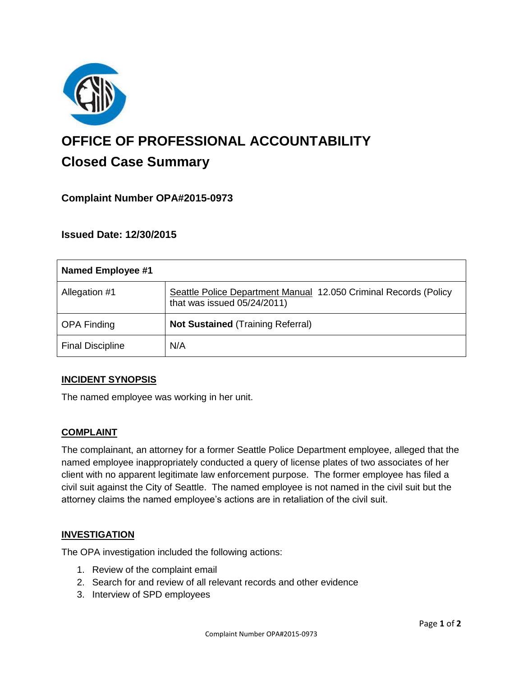

# **OFFICE OF PROFESSIONAL ACCOUNTABILITY Closed Case Summary**

## **Complaint Number OPA#2015-0973**

**Issued Date: 12/30/2015**

| Named Employee #1       |                                                                                                    |
|-------------------------|----------------------------------------------------------------------------------------------------|
| Allegation #1           | Seattle Police Department Manual 12.050 Criminal Records (Policy<br>that was issued $05/24/2011$ ) |
| <b>OPA Finding</b>      | <b>Not Sustained (Training Referral)</b>                                                           |
| <b>Final Discipline</b> | N/A                                                                                                |

## **INCIDENT SYNOPSIS**

The named employee was working in her unit.

## **COMPLAINT**

The complainant, an attorney for a former Seattle Police Department employee, alleged that the named employee inappropriately conducted a query of license plates of two associates of her client with no apparent legitimate law enforcement purpose. The former employee has filed a civil suit against the City of Seattle. The named employee is not named in the civil suit but the attorney claims the named employee's actions are in retaliation of the civil suit.

#### **INVESTIGATION**

The OPA investigation included the following actions:

- 1. Review of the complaint email
- 2. Search for and review of all relevant records and other evidence
- 3. Interview of SPD employees